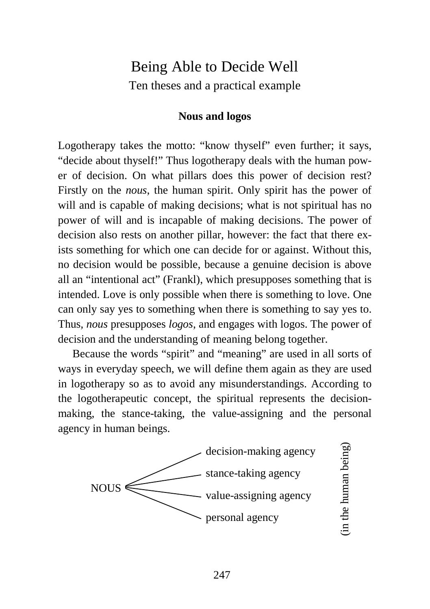# Being Able to Decide Well Ten theses and a practical example

#### **Nous and logos**

Logotherapy takes the motto: "know thyself" even further; it says, "decide about thyself!" Thus logotherapy deals with the human power of decision. On what pillars does this power of decision rest? Firstly on the *nous*, the human spirit. Only spirit has the power of will and is capable of making decisions; what is not spiritual has no power of will and is incapable of making decisions. The power of decision also rests on another pillar, however: the fact that there exists something for which one can decide for or against. Without this, no decision would be possible, because a genuine decision is above all an "intentional act" (Frankl), which presupposes something that is intended. Love is only possible when there is something to love. One can only say yes to something when there is something to say yes to. Thus*, nous* presupposes *logos*, and engages with logos. The power of decision and the understanding of meaning belong together.

Because the words "spirit" and "meaning" are used in all sorts of ways in everyday speech, we will define them again as they are used in logotherapy so as to avoid any misunderstandings. According to the logotherapeutic concept, the spiritual represents the decisionmaking, the stance-taking, the value-assigning and the personal agency in human beings.

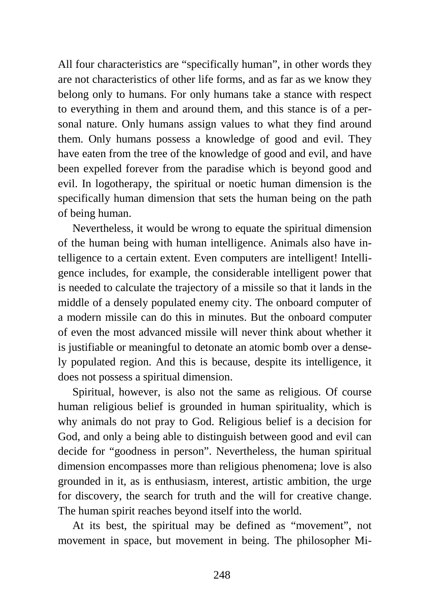All four characteristics are "specifically human", in other words they are not characteristics of other life forms, and as far as we know they belong only to humans. For only humans take a stance with respect to everything in them and around them, and this stance is of a personal nature. Only humans assign values to what they find around them. Only humans possess a knowledge of good and evil. They have eaten from the tree of the knowledge of good and evil, and have been expelled forever from the paradise which is beyond good and evil. In logotherapy, the spiritual or noetic human dimension is the specifically human dimension that sets the human being on the path of being human.

Nevertheless, it would be wrong to equate the spiritual dimension of the human being with human intelligence. Animals also have intelligence to a certain extent. Even computers are intelligent! Intelligence includes, for example, the considerable intelligent power that is needed to calculate the trajectory of a missile so that it lands in the middle of a densely populated enemy city. The onboard computer of a modern missile can do this in minutes. But the onboard computer of even the most advanced missile will never think about whether it is justifiable or meaningful to detonate an atomic bomb over a densely populated region. And this is because, despite its intelligence, it does not possess a spiritual dimension.

Spiritual, however, is also not the same as religious. Of course human religious belief is grounded in human spirituality, which is why animals do not pray to God. Religious belief is a decision for God, and only a being able to distinguish between good and evil can decide for "goodness in person". Nevertheless, the human spiritual dimension encompasses more than religious phenomena; love is also grounded in it, as is enthusiasm, interest, artistic ambition, the urge for discovery, the search for truth and the will for creative change. The human spirit reaches beyond itself into the world.

At its best, the spiritual may be defined as "movement", not movement in space, but movement in being. The philosopher Mi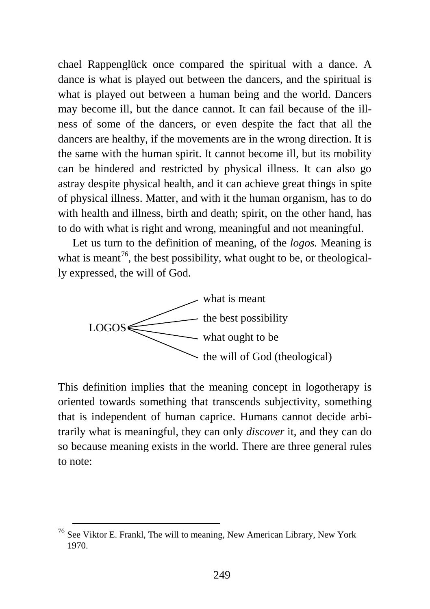chael Rappenglück once compared the spiritual with a dance. A dance is what is played out between the dancers, and the spiritual is what is played out between a human being and the world. Dancers may become ill, but the dance cannot. It can fail because of the illness of some of the dancers, or even despite the fact that all the dancers are healthy, if the movements are in the wrong direction. It is the same with the human spirit. It cannot become ill, but its mobility can be hindered and restricted by physical illness. It can also go astray despite physical health, and it can achieve great things in spite of physical illness. Matter, and with it the human organism, has to do with health and illness, birth and death; spirit, on the other hand, has to do with what is right and wrong, meaningful and not meaningful.

Let us turn to the definition of meaning, of the *logos.* Meaning is what is meant<sup>[76](#page-2-0)</sup>, the best possibility, what ought to be, or theologically expressed, the will of God.



This definition implies that the meaning concept in logotherapy is oriented towards something that transcends subjectivity, something that is independent of human caprice. Humans cannot decide arbitrarily what is meaningful, they can only *discover* it, and they can do so because meaning exists in the world. There are three general rules to note:

<span id="page-2-0"></span> <sup>76</sup> See Viktor E. Frankl, The will to meaning, New American Library, New York 1970.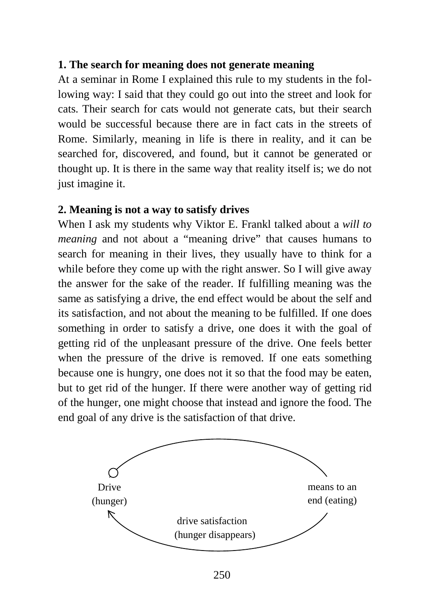## **1. The search for meaning does not generate meaning**

At a seminar in Rome I explained this rule to my students in the following way: I said that they could go out into the street and look for cats. Their search for cats would not generate cats, but their search would be successful because there are in fact cats in the streets of Rome. Similarly, meaning in life is there in reality, and it can be searched for, discovered, and found, but it cannot be generated or thought up. It is there in the same way that reality itself is; we do not just imagine it.

#### **2. Meaning is not a way to satisfy drives**

When I ask my students why Viktor E. Frankl talked about a *will to meaning* and not about a "meaning drive" that causes humans to search for meaning in their lives, they usually have to think for a while before they come up with the right answer. So I will give away the answer for the sake of the reader. If fulfilling meaning was the same as satisfying a drive, the end effect would be about the self and its satisfaction, and not about the meaning to be fulfilled. If one does something in order to satisfy a drive, one does it with the goal of getting rid of the unpleasant pressure of the drive. One feels better when the pressure of the drive is removed. If one eats something because one is hungry, one does not it so that the food may be eaten, but to get rid of the hunger. If there were another way of getting rid of the hunger, one might choose that instead and ignore the food. The end goal of any drive is the satisfaction of that drive.

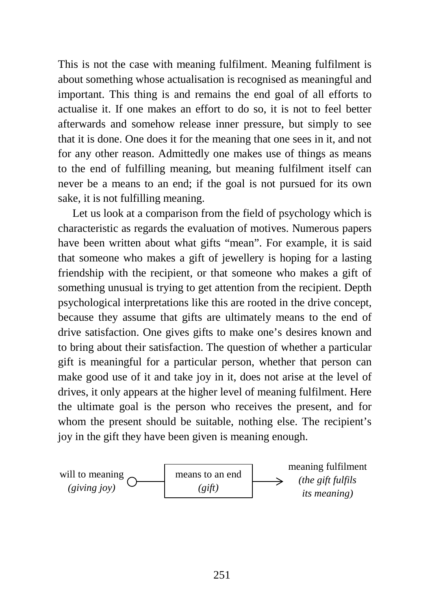This is not the case with meaning fulfilment. Meaning fulfilment is about something whose actualisation is recognised as meaningful and important. This thing is and remains the end goal of all efforts to actualise it. If one makes an effort to do so, it is not to feel better afterwards and somehow release inner pressure, but simply to see that it is done. One does it for the meaning that one sees in it, and not for any other reason. Admittedly one makes use of things as means to the end of fulfilling meaning, but meaning fulfilment itself can never be a means to an end; if the goal is not pursued for its own sake, it is not fulfilling meaning.

Let us look at a comparison from the field of psychology which is characteristic as regards the evaluation of motives. Numerous papers have been written about what gifts "mean". For example, it is said that someone who makes a gift of jewellery is hoping for a lasting friendship with the recipient, or that someone who makes a gift of something unusual is trying to get attention from the recipient. Depth psychological interpretations like this are rooted in the drive concept, because they assume that gifts are ultimately means to the end of drive satisfaction. One gives gifts to make one's desires known and to bring about their satisfaction. The question of whether a particular gift is meaningful for a particular person, whether that person can make good use of it and take joy in it, does not arise at the level of drives, it only appears at the higher level of meaning fulfilment. Here the ultimate goal is the person who receives the present, and for whom the present should be suitable, nothing else. The recipient's joy in the gift they have been given is meaning enough.

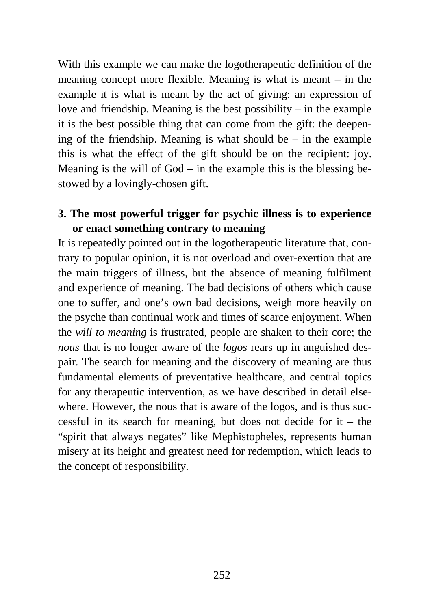With this example we can make the logotherapeutic definition of the meaning concept more flexible. Meaning is what is meant – in the example it is what is meant by the act of giving: an expression of love and friendship. Meaning is the best possibility – in the example it is the best possible thing that can come from the gift: the deepening of the friendship. Meaning is what should be – in the example this is what the effect of the gift should be on the recipient: joy. Meaning is the will of God – in the example this is the blessing bestowed by a lovingly-chosen gift.

# **3. The most powerful trigger for psychic illness is to experience or enact something contrary to meaning**

It is repeatedly pointed out in the logotherapeutic literature that, contrary to popular opinion, it is not overload and over-exertion that are the main triggers of illness, but the absence of meaning fulfilment and experience of meaning. The bad decisions of others which cause one to suffer, and one's own bad decisions, weigh more heavily on the psyche than continual work and times of scarce enjoyment. When the *will to meaning* is frustrated, people are shaken to their core; the *nous* that is no longer aware of the *logos* rears up in anguished despair. The search for meaning and the discovery of meaning are thus fundamental elements of preventative healthcare, and central topics for any therapeutic intervention, as we have described in detail elsewhere. However, the nous that is aware of the logos, and is thus successful in its search for meaning, but does not decide for it – the "spirit that always negates" like Mephistopheles, represents human misery at its height and greatest need for redemption, which leads to the concept of responsibility.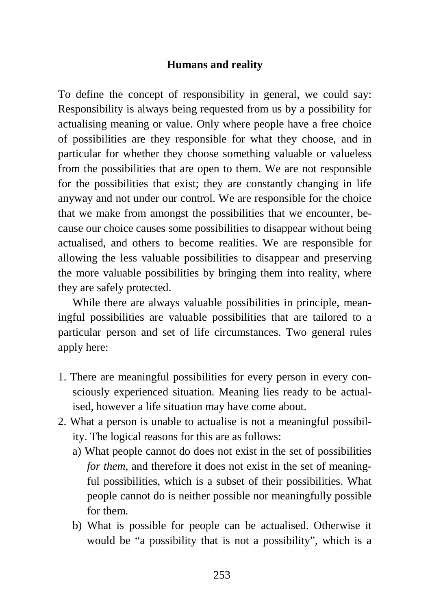## **Humans and reality**

To define the concept of responsibility in general, we could say: Responsibility is always being requested from us by a possibility for actualising meaning or value. Only where people have a free choice of possibilities are they responsible for what they choose, and in particular for whether they choose something valuable or valueless from the possibilities that are open to them. We are not responsible for the possibilities that exist; they are constantly changing in life anyway and not under our control. We are responsible for the choice that we make from amongst the possibilities that we encounter, because our choice causes some possibilities to disappear without being actualised, and others to become realities. We are responsible for allowing the less valuable possibilities to disappear and preserving the more valuable possibilities by bringing them into reality, where they are safely protected.

While there are always valuable possibilities in principle, meaningful possibilities are valuable possibilities that are tailored to a particular person and set of life circumstances. Two general rules apply here:

- 1. There are meaningful possibilities for every person in every consciously experienced situation. Meaning lies ready to be actualised, however a life situation may have come about.
- 2. What a person is unable to actualise is not a meaningful possibility. The logical reasons for this are as follows:
	- a) What people cannot do does not exist in the set of possibilities *for them*, and therefore it does not exist in the set of meaningful possibilities, which is a subset of their possibilities. What people cannot do is neither possible nor meaningfully possible for them.
	- b) What is possible for people can be actualised. Otherwise it would be "a possibility that is not a possibility", which is a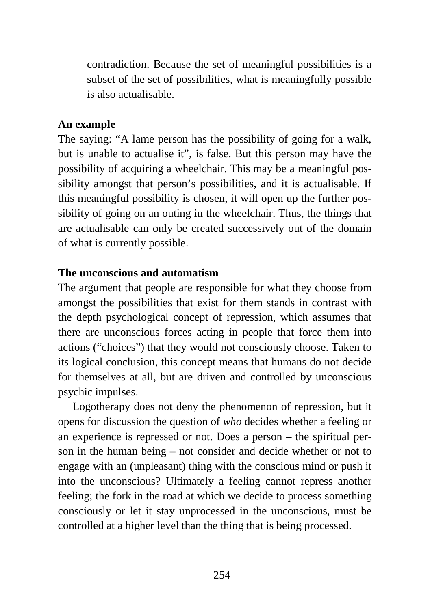contradiction. Because the set of meaningful possibilities is a subset of the set of possibilities, what is meaningfully possible is also actualisable.

### **An example**

The saying: "A lame person has the possibility of going for a walk, but is unable to actualise it", is false. But this person may have the possibility of acquiring a wheelchair. This may be a meaningful possibility amongst that person's possibilities, and it is actualisable. If this meaningful possibility is chosen, it will open up the further possibility of going on an outing in the wheelchair. Thus, the things that are actualisable can only be created successively out of the domain of what is currently possible.

## **The unconscious and automatism**

The argument that people are responsible for what they choose from amongst the possibilities that exist for them stands in contrast with the depth psychological concept of repression, which assumes that there are unconscious forces acting in people that force them into actions ("choices") that they would not consciously choose. Taken to its logical conclusion, this concept means that humans do not decide for themselves at all, but are driven and controlled by unconscious psychic impulses.

Logotherapy does not deny the phenomenon of repression, but it opens for discussion the question of *who* decides whether a feeling or an experience is repressed or not. Does a person – the spiritual person in the human being – not consider and decide whether or not to engage with an (unpleasant) thing with the conscious mind or push it into the unconscious? Ultimately a feeling cannot repress another feeling; the fork in the road at which we decide to process something consciously or let it stay unprocessed in the unconscious, must be controlled at a higher level than the thing that is being processed.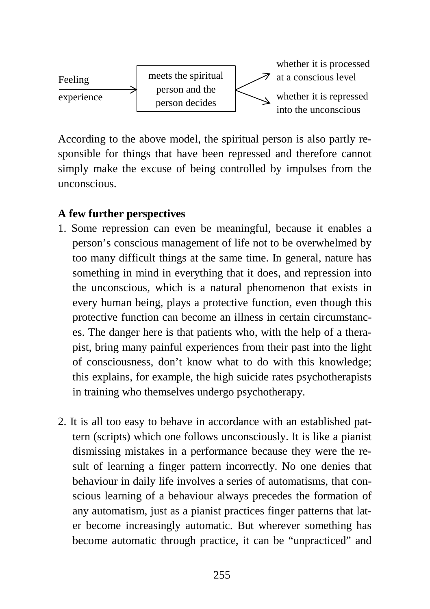

According to the above model, the spiritual person is also partly responsible for things that have been repressed and therefore cannot simply make the excuse of being controlled by impulses from the unconscious.

## **A few further perspectives**

- 1. Some repression can even be meaningful, because it enables a person's conscious management of life not to be overwhelmed by too many difficult things at the same time. In general, nature has something in mind in everything that it does, and repression into the unconscious, which is a natural phenomenon that exists in every human being, plays a protective function, even though this protective function can become an illness in certain circumstances. The danger here is that patients who, with the help of a therapist, bring many painful experiences from their past into the light of consciousness, don't know what to do with this knowledge; this explains, for example, the high suicide rates psychotherapists in training who themselves undergo psychotherapy.
- 2. It is all too easy to behave in accordance with an established pattern (scripts) which one follows unconsciously. It is like a pianist dismissing mistakes in a performance because they were the result of learning a finger pattern incorrectly. No one denies that behaviour in daily life involves a series of automatisms, that conscious learning of a behaviour always precedes the formation of any automatism, just as a pianist practices finger patterns that later become increasingly automatic. But wherever something has become automatic through practice, it can be "unpracticed" and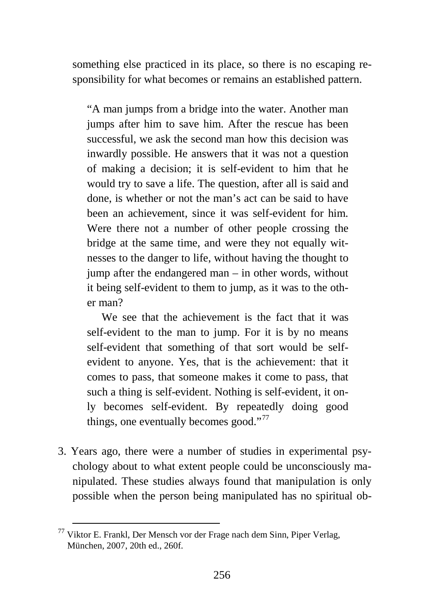something else practiced in its place, so there is no escaping responsibility for what becomes or remains an established pattern.

"A man jumps from a bridge into the water. Another man jumps after him to save him. After the rescue has been successful, we ask the second man how this decision was inwardly possible. He answers that it was not a question of making a decision; it is self-evident to him that he would try to save a life. The question, after all is said and done, is whether or not the man's act can be said to have been an achievement, since it was self-evident for him. Were there not a number of other people crossing the bridge at the same time, and were they not equally witnesses to the danger to life, without having the thought to jump after the endangered man – in other words, without it being self-evident to them to jump, as it was to the other man?

We see that the achievement is the fact that it was self-evident to the man to jump. For it is by no means self-evident that something of that sort would be selfevident to anyone. Yes, that is the achievement: that it comes to pass, that someone makes it come to pass, that such a thing is self-evident. Nothing is self-evident, it only becomes self-evident. By repeatedly doing good things, one eventually becomes good."<sup>[77](#page-9-0)</sup>

3. Years ago, there were a number of studies in experimental psychology about to what extent people could be unconsciously manipulated. These studies always found that manipulation is only possible when the person being manipulated has no spiritual ob-

<span id="page-9-0"></span> <sup>77</sup> Viktor E. Frankl, Der Mensch vor der Frage nach dem Sinn, Piper Verlag, München, 2007, 20th ed., 260f.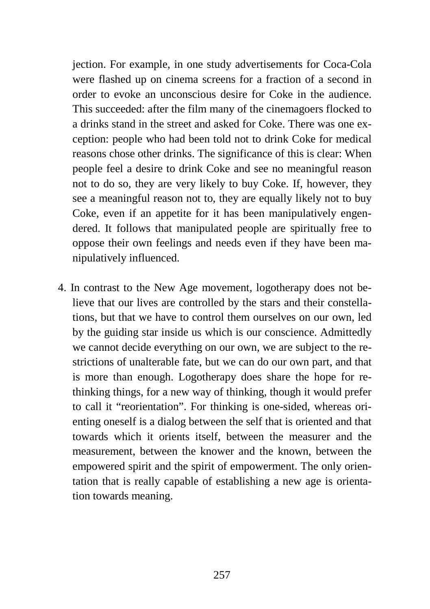jection. For example, in one study advertisements for Coca-Cola were flashed up on cinema screens for a fraction of a second in order to evoke an unconscious desire for Coke in the audience. This succeeded: after the film many of the cinemagoers flocked to a drinks stand in the street and asked for Coke. There was one exception: people who had been told not to drink Coke for medical reasons chose other drinks. The significance of this is clear: When people feel a desire to drink Coke and see no meaningful reason not to do so, they are very likely to buy Coke. If, however, they see a meaningful reason not to, they are equally likely not to buy Coke, even if an appetite for it has been manipulatively engendered. It follows that manipulated people are spiritually free to oppose their own feelings and needs even if they have been manipulatively influenced.

4. In contrast to the New Age movement, logotherapy does not believe that our lives are controlled by the stars and their constellations, but that we have to control them ourselves on our own, led by the guiding star inside us which is our conscience. Admittedly we cannot decide everything on our own, we are subject to the restrictions of unalterable fate, but we can do our own part, and that is more than enough. Logotherapy does share the hope for rethinking things, for a new way of thinking, though it would prefer to call it "reorientation". For thinking is one-sided, whereas orienting oneself is a dialog between the self that is oriented and that towards which it orients itself, between the measurer and the measurement, between the knower and the known, between the empowered spirit and the spirit of empowerment. The only orientation that is really capable of establishing a new age is orientation towards meaning.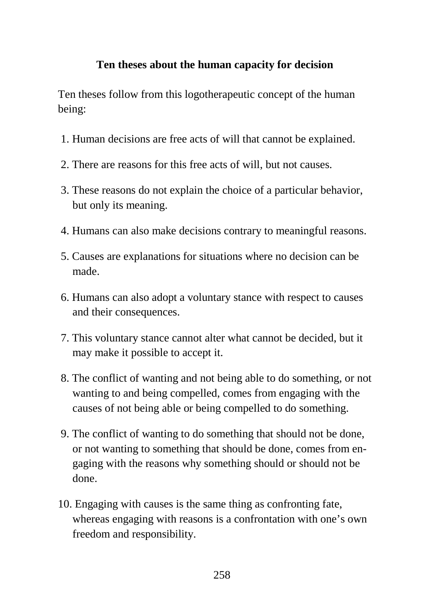## **Ten theses about the human capacity for decision**

Ten theses follow from this logotherapeutic concept of the human being:

- 1. Human decisions are free acts of will that cannot be explained.
- 2. There are reasons for this free acts of will, but not causes.
- 3. These reasons do not explain the choice of a particular behavior, but only its meaning.
- 4. Humans can also make decisions contrary to meaningful reasons.
- 5. Causes are explanations for situations where no decision can be made.
- 6. Humans can also adopt a voluntary stance with respect to causes and their consequences.
- 7. This voluntary stance cannot alter what cannot be decided, but it may make it possible to accept it.
- 8. The conflict of wanting and not being able to do something, or not wanting to and being compelled, comes from engaging with the causes of not being able or being compelled to do something.
- 9. The conflict of wanting to do something that should not be done, or not wanting to something that should be done, comes from engaging with the reasons why something should or should not be done.
- 10. Engaging with causes is the same thing as confronting fate, whereas engaging with reasons is a confrontation with one's own freedom and responsibility.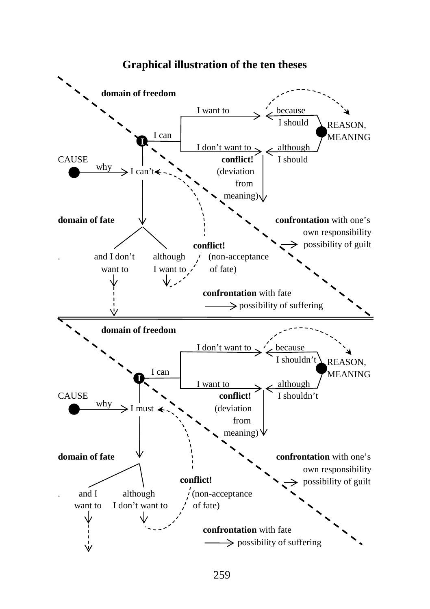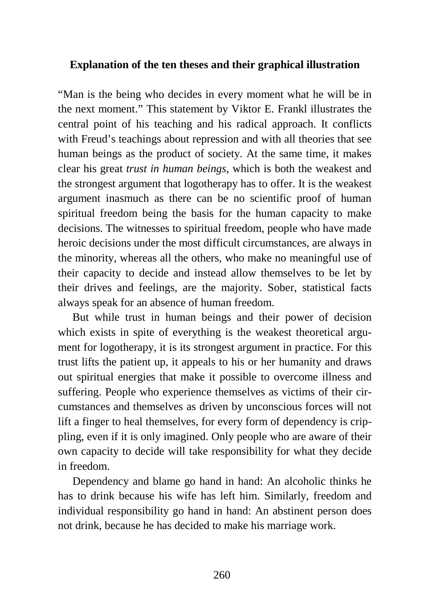#### **Explanation of the ten theses and their graphical illustration**

"Man is the being who decides in every moment what he will be in the next moment." This statement by Viktor E. Frankl illustrates the central point of his teaching and his radical approach. It conflicts with Freud's teachings about repression and with all theories that see human beings as the product of society. At the same time, it makes clear his great *trust in human beings*, which is both the weakest and the strongest argument that logotherapy has to offer. It is the weakest argument inasmuch as there can be no scientific proof of human spiritual freedom being the basis for the human capacity to make decisions. The witnesses to spiritual freedom, people who have made heroic decisions under the most difficult circumstances, are always in the minority, whereas all the others, who make no meaningful use of their capacity to decide and instead allow themselves to be let by their drives and feelings, are the majority. Sober, statistical facts always speak for an absence of human freedom.

But while trust in human beings and their power of decision which exists in spite of everything is the weakest theoretical argument for logotherapy, it is its strongest argument in practice. For this trust lifts the patient up, it appeals to his or her humanity and draws out spiritual energies that make it possible to overcome illness and suffering. People who experience themselves as victims of their circumstances and themselves as driven by unconscious forces will not lift a finger to heal themselves, for every form of dependency is crippling, even if it is only imagined. Only people who are aware of their own capacity to decide will take responsibility for what they decide in freedom.

Dependency and blame go hand in hand: An alcoholic thinks he has to drink because his wife has left him. Similarly, freedom and individual responsibility go hand in hand: An abstinent person does not drink, because he has decided to make his marriage work.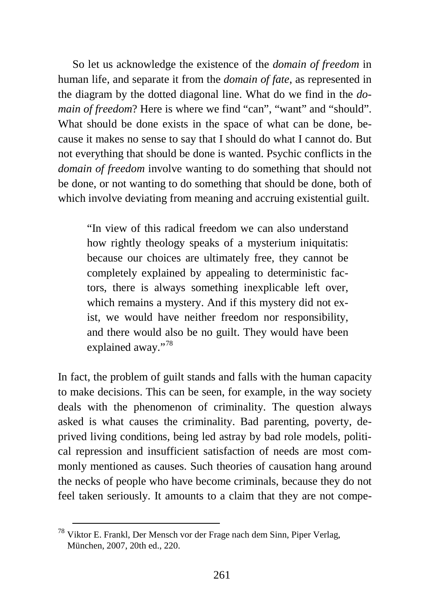So let us acknowledge the existence of the *domain of freedom* in human life, and separate it from the *domain of fate*, as represented in the diagram by the dotted diagonal line. What do we find in the *domain of freedom*? Here is where we find "can", "want" and "should". What should be done exists in the space of what can be done, because it makes no sense to say that I should do what I cannot do. But not everything that should be done is wanted. Psychic conflicts in the *domain of freedom* involve wanting to do something that should not be done, or not wanting to do something that should be done, both of which involve deviating from meaning and accruing existential guilt.

"In view of this radical freedom we can also understand how rightly theology speaks of a mysterium iniquitatis: because our choices are ultimately free, they cannot be completely explained by appealing to deterministic factors, there is always something inexplicable left over, which remains a mystery. And if this mystery did not exist, we would have neither freedom nor responsibility, and there would also be no guilt. They would have been explained away."<sup>[78](#page-14-0)</sup>

In fact, the problem of guilt stands and falls with the human capacity to make decisions. This can be seen, for example, in the way society deals with the phenomenon of criminality. The question always asked is what causes the criminality. Bad parenting, poverty, deprived living conditions, being led astray by bad role models, political repression and insufficient satisfaction of needs are most commonly mentioned as causes. Such theories of causation hang around the necks of people who have become criminals, because they do not feel taken seriously. It amounts to a claim that they are not compe-

<span id="page-14-0"></span> <sup>78</sup> Viktor E. Frankl, Der Mensch vor der Frage nach dem Sinn, Piper Verlag, München, 2007, 20th ed., 220.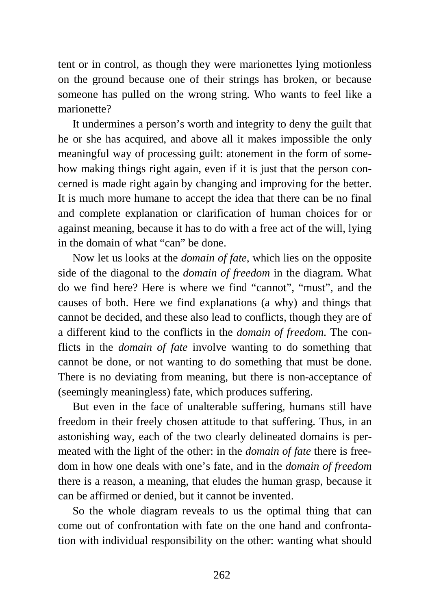tent or in control, as though they were marionettes lying motionless on the ground because one of their strings has broken, or because someone has pulled on the wrong string. Who wants to feel like a marionette?

It undermines a person's worth and integrity to deny the guilt that he or she has acquired, and above all it makes impossible the only meaningful way of processing guilt: atonement in the form of somehow making things right again, even if it is just that the person concerned is made right again by changing and improving for the better. It is much more humane to accept the idea that there can be no final and complete explanation or clarification of human choices for or against meaning, because it has to do with a free act of the will, lying in the domain of what "can" be done.

Now let us looks at the *domain of fate*, which lies on the opposite side of the diagonal to the *domain of freedom* in the diagram. What do we find here? Here is where we find "cannot", "must", and the causes of both. Here we find explanations (a why) and things that cannot be decided, and these also lead to conflicts, though they are of a different kind to the conflicts in the *domain of freedom*. The conflicts in the *domain of fate* involve wanting to do something that cannot be done, or not wanting to do something that must be done. There is no deviating from meaning, but there is non-acceptance of (seemingly meaningless) fate, which produces suffering.

But even in the face of unalterable suffering, humans still have freedom in their freely chosen attitude to that suffering. Thus, in an astonishing way, each of the two clearly delineated domains is permeated with the light of the other: in the *domain of fate* there is freedom in how one deals with one's fate, and in the *domain of freedom* there is a reason, a meaning, that eludes the human grasp, because it can be affirmed or denied, but it cannot be invented.

So the whole diagram reveals to us the optimal thing that can come out of confrontation with fate on the one hand and confrontation with individual responsibility on the other: wanting what should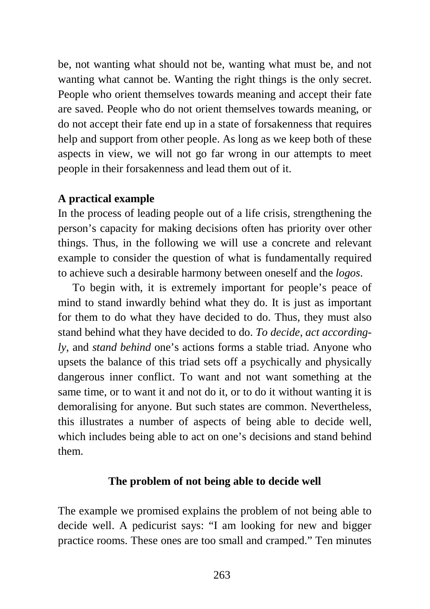be, not wanting what should not be, wanting what must be, and not wanting what cannot be. Wanting the right things is the only secret. People who orient themselves towards meaning and accept their fate are saved. People who do not orient themselves towards meaning, or do not accept their fate end up in a state of forsakenness that requires help and support from other people. As long as we keep both of these aspects in view, we will not go far wrong in our attempts to meet people in their forsakenness and lead them out of it.

## **A practical example**

In the process of leading people out of a life crisis, strengthening the person's capacity for making decisions often has priority over other things. Thus, in the following we will use a concrete and relevant example to consider the question of what is fundamentally required to achieve such a desirable harmony between oneself and the *logos*.

To begin with, it is extremely important for people's peace of mind to stand inwardly behind what they do. It is just as important for them to do what they have decided to do. Thus, they must also stand behind what they have decided to do. *To decide, act accordingly*, and *stand behind* one's actions forms a stable triad. Anyone who upsets the balance of this triad sets off a psychically and physically dangerous inner conflict. To want and not want something at the same time, or to want it and not do it, or to do it without wanting it is demoralising for anyone. But such states are common. Nevertheless, this illustrates a number of aspects of being able to decide well, which includes being able to act on one's decisions and stand behind them.

## **The problem of not being able to decide well**

The example we promised explains the problem of not being able to decide well. A pedicurist says: "I am looking for new and bigger practice rooms. These ones are too small and cramped." Ten minutes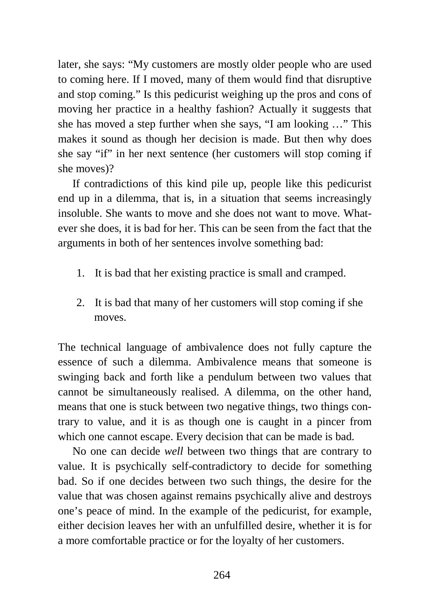later, she says: "My customers are mostly older people who are used to coming here. If I moved, many of them would find that disruptive and stop coming." Is this pedicurist weighing up the pros and cons of moving her practice in a healthy fashion? Actually it suggests that she has moved a step further when she says, "I am looking …" This makes it sound as though her decision is made. But then why does she say "if" in her next sentence (her customers will stop coming if she moves)?

If contradictions of this kind pile up, people like this pedicurist end up in a dilemma, that is, in a situation that seems increasingly insoluble. She wants to move and she does not want to move. Whatever she does, it is bad for her. This can be seen from the fact that the arguments in both of her sentences involve something bad:

- 1. It is bad that her existing practice is small and cramped.
- 2. It is bad that many of her customers will stop coming if she moves.

The technical language of ambivalence does not fully capture the essence of such a dilemma. Ambivalence means that someone is swinging back and forth like a pendulum between two values that cannot be simultaneously realised. A dilemma, on the other hand, means that one is stuck between two negative things, two things contrary to value, and it is as though one is caught in a pincer from which one cannot escape. Every decision that can be made is bad.

No one can decide *well* between two things that are contrary to value. It is psychically self-contradictory to decide for something bad. So if one decides between two such things, the desire for the value that was chosen against remains psychically alive and destroys one's peace of mind. In the example of the pedicurist, for example, either decision leaves her with an unfulfilled desire, whether it is for a more comfortable practice or for the loyalty of her customers.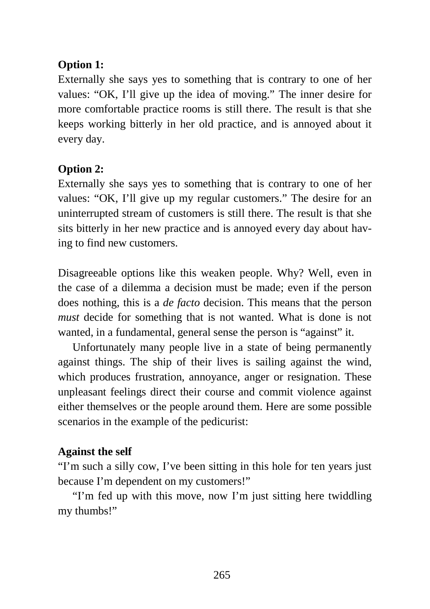## **Option 1:**

Externally she says yes to something that is contrary to one of her values: "OK, I'll give up the idea of moving." The inner desire for more comfortable practice rooms is still there. The result is that she keeps working bitterly in her old practice, and is annoyed about it every day.

## **Option 2:**

Externally she says yes to something that is contrary to one of her values: "OK, I'll give up my regular customers." The desire for an uninterrupted stream of customers is still there. The result is that she sits bitterly in her new practice and is annoyed every day about having to find new customers.

Disagreeable options like this weaken people. Why? Well, even in the case of a dilemma a decision must be made; even if the person does nothing, this is a *de facto* decision. This means that the person *must* decide for something that is not wanted. What is done is not wanted, in a fundamental, general sense the person is "against" it.

Unfortunately many people live in a state of being permanently against things. The ship of their lives is sailing against the wind, which produces frustration, annoyance, anger or resignation. These unpleasant feelings direct their course and commit violence against either themselves or the people around them. Here are some possible scenarios in the example of the pedicurist:

## **Against the self**

"I'm such a silly cow, I've been sitting in this hole for ten years just because I'm dependent on my customers!"

"I'm fed up with this move, now I'm just sitting here twiddling my thumbs!"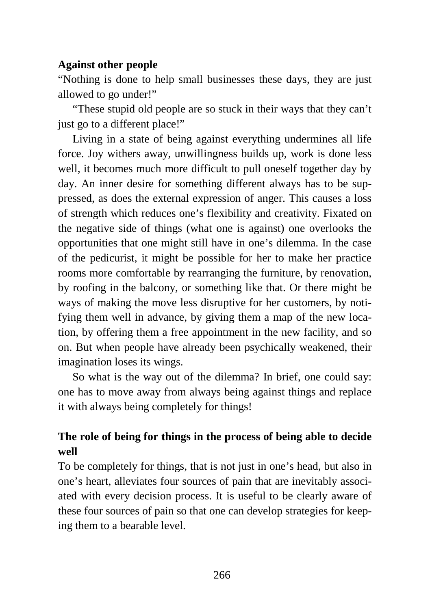#### **Against other people**

"Nothing is done to help small businesses these days, they are just allowed to go under!"

"These stupid old people are so stuck in their ways that they can't just go to a different place!"

Living in a state of being against everything undermines all life force. Joy withers away, unwillingness builds up, work is done less well, it becomes much more difficult to pull oneself together day by day. An inner desire for something different always has to be suppressed, as does the external expression of anger. This causes a loss of strength which reduces one's flexibility and creativity. Fixated on the negative side of things (what one is against) one overlooks the opportunities that one might still have in one's dilemma. In the case of the pedicurist, it might be possible for her to make her practice rooms more comfortable by rearranging the furniture, by renovation, by roofing in the balcony, or something like that. Or there might be ways of making the move less disruptive for her customers, by notifying them well in advance, by giving them a map of the new location, by offering them a free appointment in the new facility, and so on. But when people have already been psychically weakened, their imagination loses its wings.

So what is the way out of the dilemma? In brief, one could say: one has to move away from always being against things and replace it with always being completely for things!

# **The role of being for things in the process of being able to decide well**

To be completely for things, that is not just in one's head, but also in one's heart, alleviates four sources of pain that are inevitably associated with every decision process. It is useful to be clearly aware of these four sources of pain so that one can develop strategies for keeping them to a bearable level.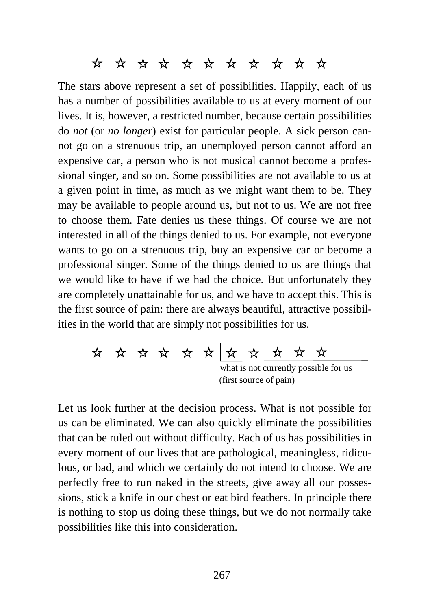\* \* \* \* \* \* \* \* \* \* \* \*

The stars above represent a set of possibilities. Happily, each of us has a number of possibilities available to us at every moment of our lives. It is, however, a restricted number, because certain possibilities do *not* (or *no longer*) exist for particular people. A sick person cannot go on a strenuous trip, an unemployed person cannot afford an expensive car, a person who is not musical cannot become a professional singer, and so on. Some possibilities are not available to us at a given point in time, as much as we might want them to be. They may be available to people around us, but not to us. We are not free to choose them. Fate denies us these things. Of course we are not interested in all of the things denied to us. For example, not everyone wants to go on a strenuous trip, buy an expensive car or become a professional singer. Some of the things denied to us are things that we would like to have if we had the choice. But unfortunately they are completely unattainable for us, and we have to accept this. This is the first source of pain: there are always beautiful, attractive possibilities in the world that are simply not possibilities for us.



Let us look further at the decision process. What is not possible for us can be eliminated. We can also quickly eliminate the possibilities that can be ruled out without difficulty. Each of us has possibilities in every moment of our lives that are pathological, meaningless, ridiculous, or bad, and which we certainly do not intend to choose. We are perfectly free to run naked in the streets, give away all our possessions, stick a knife in our chest or eat bird feathers. In principle there is nothing to stop us doing these things, but we do not normally take possibilities like this into consideration.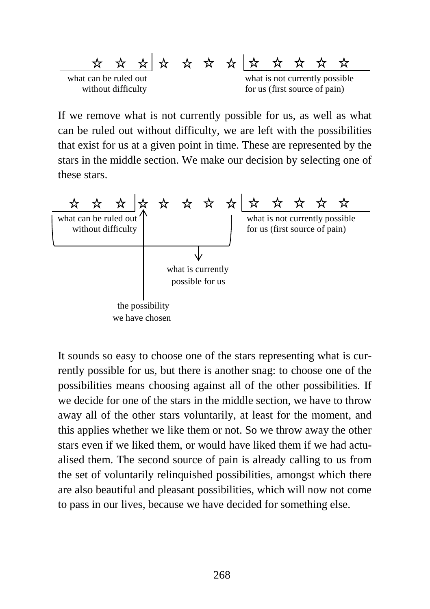

If we remove what is not currently possible for us, as well as what can be ruled out without difficulty, we are left with the possibilities that exist for us at a given point in time. These are represented by the stars in the middle section. We make our decision by selecting one of these stars.



It sounds so easy to choose one of the stars representing what is currently possible for us, but there is another snag: to choose one of the possibilities means choosing against all of the other possibilities. If we decide for one of the stars in the middle section, we have to throw away all of the other stars voluntarily, at least for the moment, and this applies whether we like them or not. So we throw away the other stars even if we liked them, or would have liked them if we had actualised them. The second source of pain is already calling to us from the set of voluntarily relinquished possibilities, amongst which there are also beautiful and pleasant possibilities, which will now not come to pass in our lives, because we have decided for something else.